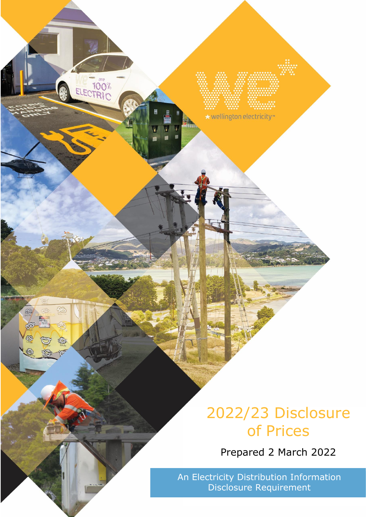# 2022/23 Disclosure of Prices

Prepared 2 March 2022

An Electricity Distribution Information Disclosure Requirement

\* wellington electricity

ELECTRIC

L

Q)

多

趣

Co

®

 $\clubsuit$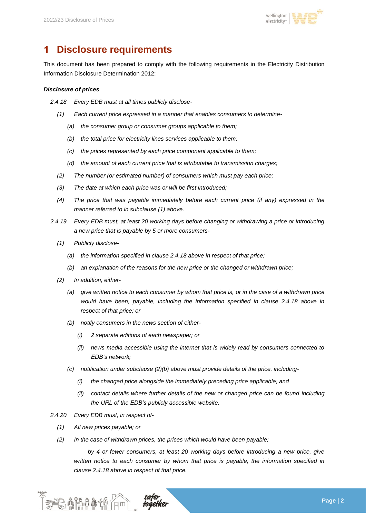

### 1 **Disclosure requirements**

This document has been prepared to comply with the following requirements in the Electricity Distribution Information Disclosure Determination 2012:

### *Disclosure of prices*

- *2.4.18 Every EDB must at all times publicly disclose-*
	- *(1) Each current price expressed in a manner that enables consumers to determine-*
		- *(a) the consumer group or consumer groups applicable to them;*
		- *(b) the total price for electricity lines services applicable to them;*
		- *(c) the prices represented by each price component applicable to them;*
		- *(d) the amount of each current price that is attributable to transmission charges;*
	- *(2) The number (or estimated number) of consumers which must pay each price;*
	- *(3) The date at which each price was or will be first introduced;*
	- *(4) The price that was payable immediately before each current price (if any) expressed in the manner referred to in subclause (1) above.*
- *2.4.19 Every EDB must, at least 20 working days before changing or withdrawing a price or introducing a new price that is payable by 5 or more consumers-*
	- *(1) Publicly disclose-*
		- *(a) the information specified in clause 2.4.18 above in respect of that price;*
		- *(b) an explanation of the reasons for the new price or the changed or withdrawn price;*
	- *(2) In addition, either-*
		- *(a) give written notice to each consumer by whom that price is, or in the case of a withdrawn price would have been, payable, including the information specified in clause 2.4.18 above in respect of that price; or*
		- *(b) notify consumers in the news section of either-*
			- *(i) 2 separate editions of each newspaper; or*
			- *(ii) news media accessible using the internet that is widely read by consumers connected to EDB's network;*
		- *(c) notification under subclause (2)(b) above must provide details of the price, including-*
			- *(i) the changed price alongside the immediately preceding price applicable; and*
			- *(ii) contact details where further details of the new or changed price can be found including the URL of the EDB's publicly accessible website.*
- *2.4.20 Every EDB must, in respect of-*
	- *(1) All new prices payable; or*

一个情况的。

*(2) In the case of withdrawn prices, the prices which would have been payable;* 

*by 4 or fewer consumers, at least 20 working days before introducing a new price, give written notice to each consumer by whom that price is payable, the information specified in clause 2.4.18 above in respect of that price.*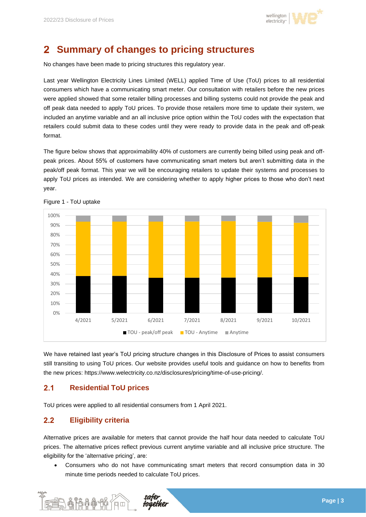

### $\mathbf{2}$ **Summary of changes to pricing structures**

No changes have been made to pricing structures this regulatory year.

Last year Wellington Electricity Lines Limited (WELL) applied Time of Use (ToU) prices to all residential consumers which have a communicating smart meter. Our consultation with retailers before the new prices were applied showed that some retailer billing processes and billing systems could not provide the peak and off peak data needed to apply ToU prices. To provide those retailers more time to update their system, we included an anytime variable and an all inclusive price option within the ToU codes with the expectation that retailers could submit data to these codes until they were ready to provide data in the peak and off-peak format.

The figure below shows that approximability 40% of customers are currently being billed using peak and offpeak prices. About 55% of customers have communicating smart meters but aren't submitting data in the peak/off peak format. This year we will be encouraging retailers to update their systems and processes to apply ToU prices as intended. We are considering whether to apply higher prices to those who don't next year.



Figure 1 - ToU uptake

We have retained last year's ToU pricing structure changes in this Disclosure of Prices to assist consumers still transiting to using ToU prices. Our website provides useful tools and guidance on how to benefits from the new prices: https://www.welectricity.co.nz/disclosures/pricing/time-of-use-pricing/.

#### $2.1$ **Residential ToU prices**

ToU prices were applied to all residential consumers from 1 April 2021.

#### $2.2$ **Eligibility criteria**

Alternative prices are available for meters that cannot provide the half hour data needed to calculate ToU prices. The alternative prices reflect previous current anytime variable and all inclusive price structure. The eligibility for the 'alternative pricing', are:

• Consumers who do not have communicating smart meters that record consumption data in 30 minute time periods needed to calculate ToU prices.

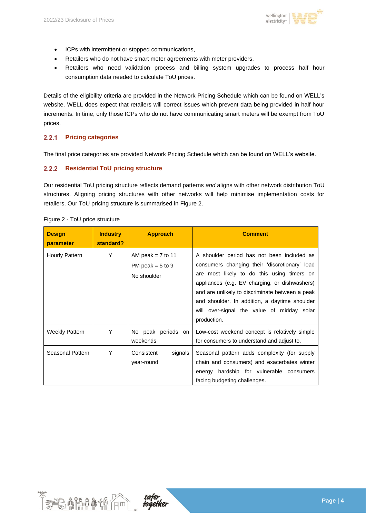

- ICPs with intermittent or stopped communications,
- Retailers who do not have smart meter agreements with meter providers,
- Retailers who need validation process and billing system upgrades to process half hour consumption data needed to calculate ToU prices.

Details of the eligibility criteria are provided in the Network Pricing Schedule which can be found on WELL's website. WELL does expect that retailers will correct issues which prevent data being provided in half hour increments. In time, only those ICPs who do not have communicating smart meters will be exempt from ToU prices.

#### $2.2.1$ **Pricing categories**

The final price categories are provided Network Pricing Schedule which can be found on WELL's website.

#### $2.2.2$ **Residential ToU pricing structure**

Our residential ToU pricing structure reflects demand patterns *and* aligns with other network distribution ToU structures. Aligning pricing structures with other networks will help minimise implementation costs for retailers. Our ToU pricing structure is summarised in [Figure 2.](#page-3-0)

| <b>Design</b><br>parameter | <b>Industry</b><br>standard? | <b>Approach</b>                                            | <b>Comment</b>                                                                                                                                                                                                                                                                                                                                              |
|----------------------------|------------------------------|------------------------------------------------------------|-------------------------------------------------------------------------------------------------------------------------------------------------------------------------------------------------------------------------------------------------------------------------------------------------------------------------------------------------------------|
| Hourly Pattern             | Υ                            | AM peak = $7$ to 11<br>PM peak = $5$ to $9$<br>No shoulder | A shoulder period has not been included as<br>consumers changing their 'discretionary' load<br>are most likely to do this using timers on<br>appliances (e.g. EV charging, or dishwashers)<br>and are unlikely to discriminate between a peak<br>and shoulder. In addition, a daytime shoulder<br>will over-signal the value of midday solar<br>production. |
| <b>Weekly Pattern</b>      | Υ                            | No peak periods on<br>weekends                             | Low-cost weekend concept is relatively simple<br>for consumers to understand and adjust to.                                                                                                                                                                                                                                                                 |
| Seasonal Pattern           | Υ                            | Consistent<br>signals<br>year-round                        | Seasonal pattern adds complexity (for supply<br>chain and consumers) and exacerbates winter<br>energy hardship for vulnerable consumers<br>facing budgeting challenges.                                                                                                                                                                                     |

### <span id="page-3-0"></span>Figure 2 - ToU price structure



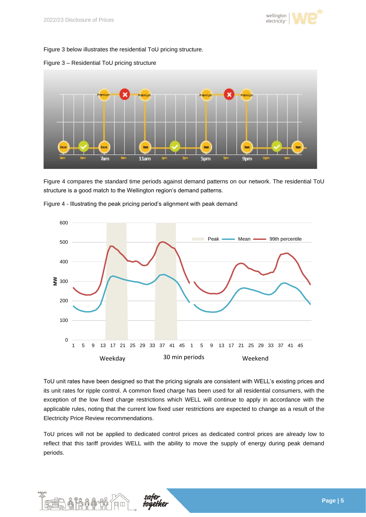

[Figure 3](#page-4-0) below illustrates the residential ToU pricing structure.



### <span id="page-4-0"></span>Figure 3 – Residential ToU pricing structure

[Figure 4](#page-4-1) compares the standard time periods against demand patterns on our network. The residential ToU structure is a good match to the Wellington region's demand patterns.



<span id="page-4-1"></span>Figure 4 - Illustrating the peak pricing period's alignment with peak demand

ToU unit rates have been designed so that the pricing signals are consistent with WELL's existing prices and its unit rates for ripple control. A common fixed charge has been used for all residential consumers, with the exception of the low fixed charge restrictions which WELL will continue to apply in accordance with the applicable rules, noting that the current low fixed user restrictions are expected to change as a result of the Electricity Price Review recommendations.

ToU prices will not be applied to dedicated control prices as dedicated control prices are already low to reflect that this tariff provides WELL with the ability to move the supply of energy during peak demand periods.

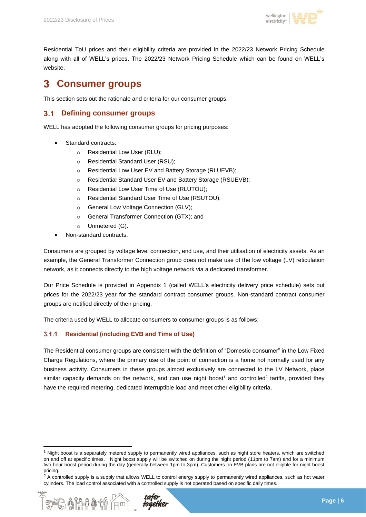

Residential ToU prices and their eligibility criteria are provided in the 2022/23 Network Pricing Schedule along with all of WELL's prices. The 2022/23 Network Pricing Schedule which can be found on WELL's website.

### 3 **Consumer groups**

This section sets out the rationale and criteria for our consumer groups.

#### $3.1$ **Defining consumer groups**

WELL has adopted the following consumer groups for pricing purposes:

- Standard contracts:
	- o Residential Low User (RLU);
	- o Residential Standard User (RSU);
	- o Residential Low User EV and Battery Storage (RLUEVB);
	- o Residential Standard User EV and Battery Storage (RSUEVB);
	- o Residential Low User Time of Use (RLUTOU);
	- o Residential Standard User Time of Use (RSUTOU);
	- o General Low Voltage Connection (GLV);
	- o General Transformer Connection (GTX); and
	- o Unmetered (G).
- Non-standard contracts.

Consumers are grouped by voltage level connection, end use, and their utilisation of electricity assets. As an example, the General Transformer Connection group does not make use of the low voltage (LV) reticulation network, as it connects directly to the high voltage network via a dedicated transformer.

Our Price Schedule is provided in Appendix 1 (called WELL's electricity delivery price schedule) sets out prices for the 2022/23 year for the standard contract consumer groups. Non-standard contract consumer groups are notified directly of their pricing.

The criteria used by WELL to allocate consumers to consumer groups is as follows:

#### **Residential (including EVB and Time of Use)**  $3.1.1$

The Residential consumer groups are consistent with the definition of "Domestic consumer" in the Low Fixed Charge Regulations, where the primary use of the point of connection is a home not normally used for any business activity. Consumers in these groups almost exclusively are connected to the LV Network, place similar capacity demands on the network, and can use night boost<sup>1</sup> and controlled<sup>2</sup> tariffs, provided they have the required metering, dedicated interruptible load and meet other eligibility criteria.

<sup>&</sup>lt;sup>2</sup> A controlled supply is a supply that allows WELL to control energy supply to permanently wired appliances, such as hot water cylinders. The load control associated with a controlled supply is not operated based on specific daily times.



 $1$  Night boost is a separately metered supply to permanently wired appliances, such as night store heaters, which are switched on and off at specific times. Night boost supply will be switched on during the night period (11pm to 7am) and for a minimum two hour boost period during the day (generally between 1pm to 3pm). Customers on EVB plans are not eligible for night boost pricing.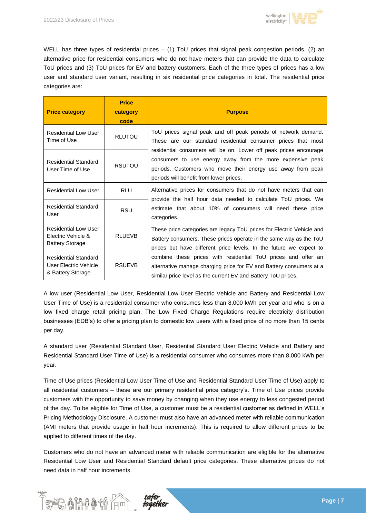

WELL has three types of residential prices – (1) ToU prices that signal peak congestion periods, (2) an alternative price for residential consumers who do not have meters that can provide the data to calculate ToU prices and (3) ToU prices for EV and battery customers. Each of the three types of prices has a low user and standard user variant, resulting in six residential price categories in total. The residential price categories are:

| <b>Price category</b>                                                       | <b>Price</b><br>category<br>code | <b>Purpose</b>                                                                                                                                                                                                                           |  |  |  |  |
|-----------------------------------------------------------------------------|----------------------------------|------------------------------------------------------------------------------------------------------------------------------------------------------------------------------------------------------------------------------------------|--|--|--|--|
| Residential Low User<br>Time of Use                                         | <b>RLUTOU</b>                    | ToU prices signal peak and off peak periods of network demand.<br>These are our standard residential consumer prices that most                                                                                                           |  |  |  |  |
| <b>Residential Standard</b><br>User Time of Use                             | <b>RSUTOU</b>                    | residential consumers will be on. Lower off peak prices encourage<br>consumers to use energy away from the more expensive peak<br>periods. Customers who move their energy use away from peak<br>periods will benefit from lower prices. |  |  |  |  |
| <b>Residential Low User</b>                                                 | <b>RLU</b>                       | Alternative prices for consumers that do not have meters that can                                                                                                                                                                        |  |  |  |  |
| <b>Residential Standard</b><br>User                                         | <b>RSU</b>                       | provide the half hour data needed to calculate ToU prices. We<br>estimate that about 10% of consumers will need these price<br>categories.                                                                                               |  |  |  |  |
| <b>Residential Low User</b><br>Electric Vehicle &<br><b>Battery Storage</b> | <b>RLUEVB</b>                    | These price categories are legacy ToU prices for Electric Vehicle and<br>Battery consumers. These prices operate in the same way as the ToU<br>prices but have different price levels. In the future we expect to                        |  |  |  |  |
| <b>Residential Standard</b><br>User Electric Vehicle<br>& Battery Storage   | <b>RSUEVB</b>                    | combine these prices with residential ToU prices and offer an<br>alternative manage charging price for EV and Battery consumers at a<br>similar price level as the current EV and Battery ToU prices.                                    |  |  |  |  |

A low user (Residential Low User, Residential Low User Electric Vehicle and Battery and Residential Low User Time of Use) is a residential consumer who consumes less than 8,000 kWh per year and who is on a low fixed charge retail pricing plan. The Low Fixed Charge Regulations require electricity distribution businesses (EDB's) to offer a pricing plan to domestic low users with a fixed price of no more than 15 cents per day.

A standard user (Residential Standard User, Residential Standard User Electric Vehicle and Battery and Residential Standard User Time of Use) is a residential consumer who consumes more than 8,000 kWh per year.

Time of Use prices (Residential Low User Time of Use and Residential Standard User Time of Use) apply to all residential customers – these are our primary residential price category's. Time of Use prices provide customers with the opportunity to save money by changing when they use energy to less congested period of the day. To be eligible for Time of Use, a customer must be a residential customer as defined in WELL's Pricing Methodology Disclosure. A customer must also have an advanced meter with reliable communication (AMI meters that provide usage in half hour increments). This is required to allow different prices to be applied to different times of the day.

Customers who do not have an advanced meter with reliable communication are eligible for the alternative Residential Low User and Residential Standard default price categories. These alternative prices do not need data in half hour increments.

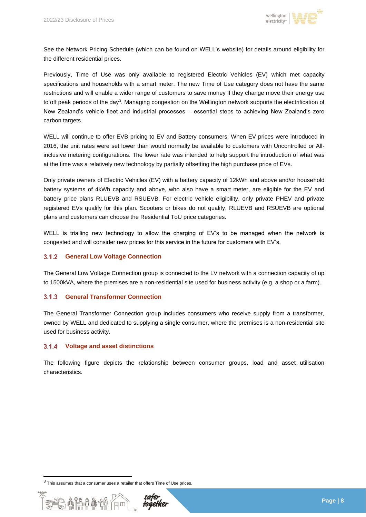

See the Network Pricing Schedule (which can be found on WELL's website) for details around eligibility for the different residential prices.

Previously, Time of Use was only available to registered Electric Vehicles (EV) which met capacity specifications and households with a smart meter. The new Time of Use category does not have the same restrictions and will enable a wider range of customers to save money if they change move their energy use to off peak periods of the day<sup>3</sup>. Managing congestion on the Wellington network supports the electrification of New Zealand's vehicle fleet and industrial processes – essential steps to achieving New Zealand's zero carbon targets.

WELL will continue to offer EVB pricing to EV and Battery consumers. When EV prices were introduced in 2016, the unit rates were set lower than would normally be available to customers with Uncontrolled or Allinclusive metering configurations. The lower rate was intended to help support the introduction of what was at the time was a relatively new technology by partially offsetting the high purchase price of EVs.

Only private owners of Electric Vehicles (EV) with a battery capacity of 12kWh and above and/or household battery systems of 4kWh capacity and above, who also have a smart meter, are eligible for the EV and battery price plans RLUEVB and RSUEVB. For electric vehicle eligibility, only private PHEV and private registered EVs qualify for this plan. Scooters or bikes do not qualify. RLUEVB and RSUEVB are optional plans and customers can choose the Residential ToU price categories.

WELL is trialling new technology to allow the charging of EV's to be managed when the network is congested and will consider new prices for this service in the future for customers with EV's.

#### $3.1.2$ **General Low Voltage Connection**

The General Low Voltage Connection group is connected to the LV network with a connection capacity of up to 1500kVA, where the premises are a non-residential site used for business activity (e.g. a shop or a farm).

#### $3.1.3$ **General Transformer Connection**

The General Transformer Connection group includes consumers who receive supply from a transformer, owned by WELL and dedicated to supplying a single consumer, where the premises is a non-residential site used for business activity.

#### $3.1.4$ **Voltage and asset distinctions**

The following figure depicts the relationship between consumer groups, load and asset utilisation characteristics.

 $3$  This assumes that a consumer uses a retailer that offers Time of Use prices.

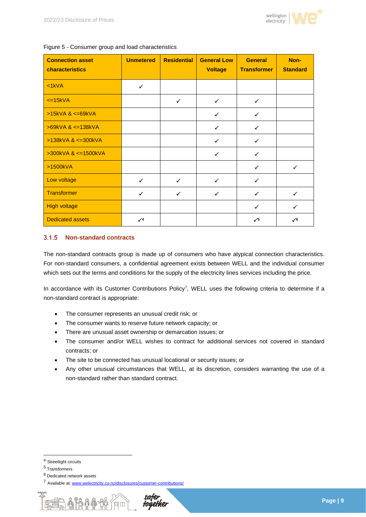

| <b>Connection asset</b><br>characteristics | <b>Unmetered</b> | <b>Residential</b> | <b>General Low</b><br><b>Voltage</b> | <b>General</b><br><b>Transformer</b> | Non-<br><b>Standard</b> |
|--------------------------------------------|------------------|--------------------|--------------------------------------|--------------------------------------|-------------------------|
| $lt;1$ kVA                                 | $\checkmark$     |                    |                                      |                                      |                         |
| $\epsilon$ =15kVA                          |                  | $\checkmark$       | $\checkmark$                         | $\checkmark$                         |                         |
| $>15kVA$ & $\leq$ 69kVA                    |                  |                    | $\checkmark$                         | $\checkmark$                         |                         |
| $>69kVA$ & $\leq$ 138kVA                   |                  |                    | $\checkmark$                         | $\checkmark$                         |                         |
| $>138kVA$ & $\leq 300kVA$                  |                  |                    | $\checkmark$                         | $\checkmark$                         |                         |
| $>300kVA$ & $<=1500kVA$                    |                  |                    | $\checkmark$                         | $\checkmark$                         |                         |
| >1500kVA                                   |                  |                    |                                      | ✓                                    | ✓                       |
| Low voltage                                | $\checkmark$     | $\checkmark$       | $\checkmark$                         | $\checkmark$                         |                         |
| Transformer                                | $\checkmark$     | $\checkmark$       | $\checkmark$                         | $\checkmark$                         | $\checkmark$            |
| <b>High voltage</b>                        |                  |                    |                                      | $\checkmark$                         | $\checkmark$            |
| <b>Dedicated assets</b>                    | $\sqrt{4}$       |                    |                                      | $\sqrt{5}$                           | $\sqrt{6}$              |

Figure 5 - Consumer group and load characteristics

#### $3.1.5$ **Non-standard contracts**

The non-standard contracts group is made up of consumers who have atypical connection characteristics. For non-standard consumers, a confidential agreement exists between WELL and the individual consumer which sets out the terms and conditions for the supply of the electricity lines services including the price.

In accordance with its Customer Contributions Policy<sup>7</sup>, WELL uses the following criteria to determine if a non-standard contract is appropriate:

- The consumer represents an unusual credit risk; or
- The consumer wants to reserve future network capacity; or
- There are unusual asset ownership or demarcation issues; or
- The consumer and/or WELL wishes to contract for additional services not covered in standard contracts; or
- The site to be connected has unusual locational or security issues; or
- Any other unusual circumstances that WELL, at its discretion, considers warranting the use of a non-standard rather than standard contract.

<sup>7</sup> Available at[: www.welectricity.co.nz/disclosures/customer-contributions/](http://www.welectricity.co.nz/disclosures/customer-contributions/)



<sup>4</sup> Streetlight circuits

<sup>5</sup> Transformers

<sup>6</sup> Dedicated network assets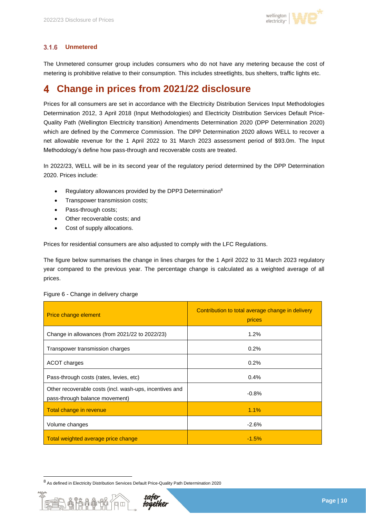

#### $3.1.6$ **Unmetered**

The Unmetered consumer group includes consumers who do not have any metering because the cost of metering is prohibitive relative to their consumption. This includes streetlights, bus shelters, traffic lights etc.

### **Change in prices from 2021/22 disclosure** 4

Prices for all consumers are set in accordance with the Electricity Distribution Services Input Methodologies Determination 2012, 3 April 2018 (Input Methodologies) and Electricity Distribution Services Default Price-Quality Path (Wellington Electricity transition) Amendments Determination 2020 (DPP Determination 2020) which are defined by the Commerce Commission. The DPP Determination 2020 allows WELL to recover a net allowable revenue for the 1 April 2022 to 31 March 2023 assessment period of \$93.0m. The Input Methodology's define how pass-through and recoverable costs are treated.

In 2022/23, WELL will be in its second year of the regulatory period determined by the DPP Determination 2020. Prices include:

- Regulatory allowances provided by the DPP3 Determination<sup>8</sup>
- Transpower transmission costs;
- Pass-through costs;
- Other recoverable costs; and
- Cost of supply allocations.

Prices for residential consumers are also adjusted to comply with the LFC Regulations.

The figure below summarises the change in lines charges for the 1 April 2022 to 31 March 2023 regulatory year compared to the previous year. The percentage change is calculated as a weighted average of all prices.

| Price change element                                                                      | Contribution to total average change in delivery<br>prices |  |  |
|-------------------------------------------------------------------------------------------|------------------------------------------------------------|--|--|
| Change in allowances (from 2021/22 to 2022/23)                                            | 1.2%                                                       |  |  |
| Transpower transmission charges                                                           | 0.2%                                                       |  |  |
| ACOT charges                                                                              | 0.2%                                                       |  |  |
| Pass-through costs (rates, levies, etc)                                                   | 0.4%                                                       |  |  |
| Other recoverable costs (incl. wash-ups, incentives and<br>pass-through balance movement) | $-0.8%$                                                    |  |  |
| Total change in revenue                                                                   | $1.1\%$                                                    |  |  |
| Volume changes                                                                            | $-2.6%$                                                    |  |  |
| Total weighted average price change                                                       | $-1.5%$                                                    |  |  |

### Figure 6 - Change in delivery charge

不吊品

<sup>8</sup> As defined in Electricity Distribution Services Default Price-Quality Path Determination 2020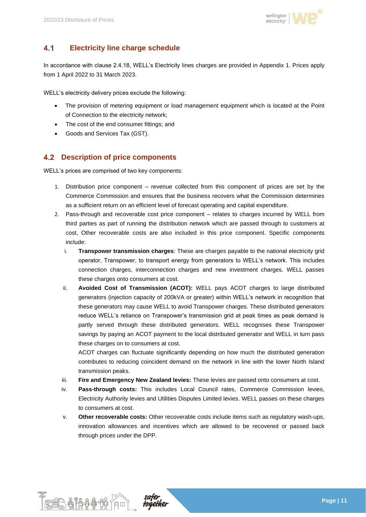

#### $4.1$ **Electricity line charge schedule**

In accordance with clause 2.4.18, WELL's Electricity lines charges are provided in Appendix 1. Prices apply from 1 April 2022 to 31 March 2023.

WELL's electricity delivery prices exclude the following:

- The provision of metering equipment or load management equipment which is located at the Point of Connection to the electricity network;
- The cost of the end consumer fittings; and
- Goods and Services Tax (GST).

## **Description of price components**

WELL's prices are comprised of two key components:

- 1. Distribution price component revenue collected from this component of prices are set by the Commerce Commission and ensures that the business recovers what the Commission determines as a sufficient return on an efficient level of forecast operating and capital expenditure.
- 2. Pass-through and recoverable cost price component relates to charges incurred by WELL from third parties as part of running the distribution network which are passed through to customers at cost, Other recoverable costs are also included in this price component. Specific components include:
	- i. **Transpower transmission charges**: These are charges payable to the national electricity grid operator, Transpower, to transport energy from generators to WELL's network. This includes connection charges, interconnection charges and new investment charges. WELL passes these charges onto consumers at cost.
	- ii. **Avoided Cost of Transmission (ACOT):** WELL pays ACOT charges to large distributed generators (injection capacity of 200kVA or greater) within WELL's network in recognition that these generators may cause WELL to avoid Transpower charges. These distributed generators reduce WELL's reliance on Transpower's transmission grid at peak times as peak demand is partly served through these distributed generators. WELL recognises these Transpower savings by paying an ACOT payment to the local distributed generator and WELL in turn pass these charges on to consumers at cost.

ACOT charges can fluctuate significantly depending on how much the distributed generation contributes to reducing coincident demand on the network in line with the lower North Island transmission peaks.

- iii. **Fire and Emergency New Zealand levies:** These levies are passed onto consumers at cost.
- iv. **Pass-through costs:** This includes Local Council rates, Commerce Commission levies, Electricity Authority levies and Utilities Disputes Limited levies. WELL passes on these charges to consumers at cost.
- v. **Other recoverable costs:** Other recoverable costs include items such as regulatory wash-ups, innovation allowances and incentives which are allowed to be recovered or passed back through prices under the DPP.



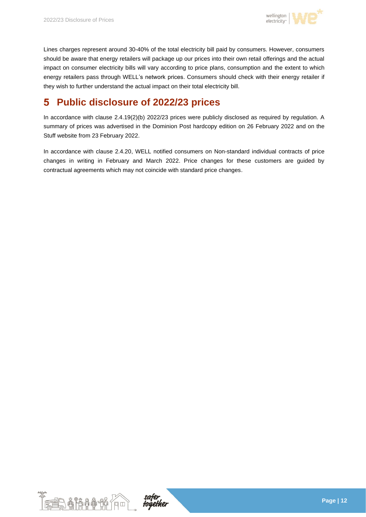

Lines charges represent around 30-40% of the total electricity bill paid by consumers. However, consumers should be aware that energy retailers will package up our prices into their own retail offerings and the actual impact on consumer electricity bills will vary according to price plans, consumption and the extent to which energy retailers pass through WELL's network prices. Consumers should check with their energy retailer if they wish to further understand the actual impact on their total electricity bill.

### **Public disclosure of 2022/23 prices** 5

In accordance with clause 2.4.19(2)(b) 2022/23 prices were publicly disclosed as required by regulation. A summary of prices was advertised in the Dominion Post hardcopy edition on 26 February 2022 and on the Stuff website from 23 February 2022.

In accordance with clause 2.4.20, WELL notified consumers on Non-standard individual contracts of price changes in writing in February and March 2022. Price changes for these customers are guided by contractual agreements which may not coincide with standard price changes.



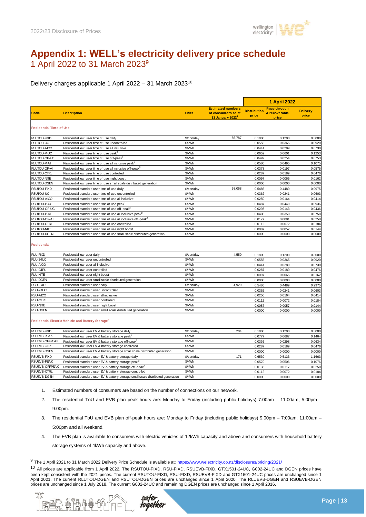

# **Appendix 1: WELL's electricity delivery price schedule** 1 April 2022 to 31 March 2023<sup>9</sup>

Delivery charges applicable 1 April 2022 – 31 March 2023<sup>10</sup>

|                                |                                                                                   |              |                                                                                | <b>1 April 2022</b>          |                                               |                          |
|--------------------------------|-----------------------------------------------------------------------------------|--------------|--------------------------------------------------------------------------------|------------------------------|-----------------------------------------------|--------------------------|
| Code                           | <b>Description</b>                                                                | <b>Units</b> | <b>Estimated numbers</b><br>of consumers as at<br>31 January 2022 <sup>1</sup> | <b>Distribution</b><br>price | <b>Pass-through</b><br>& recoverable<br>price | <b>Delivery</b><br>price |
| <b>Residential Time of Use</b> |                                                                                   |              |                                                                                |                              |                                               |                          |
| <b>RLUTOU-FIXD</b>             | Residential low user time of use daily                                            | \$/con/day   | 86,787                                                                         | 0.1800                       | 0.1200                                        | 0.3000                   |
| RLUTOU-UC                      | Residential low user time of use uncontrolled                                     | \$/kWh       |                                                                                | 0.0555                       | 0.0365                                        | 0.0920                   |
| <b>RLUTOU-AICO</b>             | Residential low user time of use all inclusive                                    | \$/kWh       |                                                                                | 0.0441                       | 0.0289                                        | 0.0730                   |
| RLUTOU-P-UC                    | Residential low user time of use peak <sup>2</sup>                                | \$/kWh       |                                                                                | 0.0652                       | 0.0601                                        | 0.1253                   |
| RLUTOU-OP-UC                   | Residential low user time of use off-peak <sup>3</sup>                            | \$/kWh       |                                                                                | 0.0499                       | 0.0254                                        | 0.0753                   |
| RLUTOU-P-AI                    | Residential low user time of use all inclusive peak <sup>2</sup>                  | \$/kWh       |                                                                                | 0.0580                       | 0.0495                                        | 0.1075                   |
| RLUTOU-OP-AI                   | Residential low user time of use all inclusive off-peak <sup>3</sup>              | \$/kWh       |                                                                                | 0.0378                       | 0.0197                                        | 0.0575                   |
| <b>RLUTOU-CTRL</b>             | Residential low user time of use controlled                                       | \$/kWh       |                                                                                | 0.0287                       | 0.0189                                        | 0.0476                   |
| <b>RLUTOU-NITE</b>             | Residential low user time of use night boost                                      | \$/kWh       |                                                                                | 0.0097                       | 0.0065                                        | 0.0162                   |
| <b>RLUTOU-DGEN</b>             | Residential low user time of use small scale distributed generation               | \$/kWh       |                                                                                | 0.0000                       | 0.0000                                        | 0.0000                   |
| <b>RSUTOU-FIXD</b>             | Residential standard user time of use daily                                       | \$/con/day   | 58,068                                                                         | 0.5486                       | 0.4489                                        | 0.9975                   |
| RSUTOU-UC                      | Residential standard user time of use uncontrolled                                | \$/kWh       |                                                                                | 0.0362                       | 0.0241                                        | 0.0603                   |
| RSUTOU-AICO                    | Residential standard user time of use all inclusive                               | \$/kWh       |                                                                                | 0.0250                       | 0.0164                                        | 0.0414                   |
| RSUTOU-P-UC                    | Residential standard user time of use peak <sup>2</sup>                           | \$/kWh       |                                                                                | 0.0487                       | 0.0449                                        | 0.0936                   |
| RSUTOU-OP-UC                   | Residential standard user time of use off-peak <sup>3</sup>                       | \$/kWh       |                                                                                | 0.0293                       | 0.0143                                        | 0.0436                   |
| RSUTOU-P-AI                    | Residential standard user time of use all inclusive peak <sup>2</sup>             | \$/kWh       |                                                                                | 0.0408                       | 0.0350                                        | 0.0758                   |
| RSUTOU-OP-AI                   | Residential standard user time of use all inclusive off-peak <sup>3</sup>         | \$/kWh       |                                                                                | 0.0177                       | 0.0081                                        | 0.0258                   |
| RSUTOU-CTRL                    | Residential standard user time of use controlled                                  | \$/kWh       |                                                                                | 0.0112                       | 0.0072                                        | 0.0184                   |
| <b>RSUTOU-NITE</b>             | Residential standard user time of use night boost                                 | \$/kWh       |                                                                                | 0.0087                       | 0.0057                                        | 0.0144                   |
| RSUTOU-DGEN                    | Residential standard user time of use small scale distributed generation          | \$/kWh       |                                                                                | 0.0000                       | 0.0000                                        | 0.0000                   |
| <b>Residential</b>             |                                                                                   |              |                                                                                |                              |                                               |                          |
| <b>RLU-FIXD</b>                | Residential low user daily                                                        | \$/con/day   | 4,550                                                                          | 0.1800                       | 0.1200                                        | 0.3000                   |
| RLU-24UC                       | Residential low user uncontrolled                                                 | \$/kWh       |                                                                                | 0.0555                       | 0.0365                                        | 0.0920                   |
| RLU-AICO                       | Residential low user all inclusive                                                | \$/kWh       |                                                                                | 0.0441                       | 0.0289                                        | 0.0730                   |
| <b>RLU-CTRL</b>                | Residential low user controlled                                                   | \$/kWh       |                                                                                | 0.0287                       | 0.0189                                        | 0.0476                   |
| <b>RLU-NITE</b>                | Residential low user night boost                                                  | \$/kWh       |                                                                                | 0.0097                       | 0.0065                                        | 0.0162                   |
| <b>RLU-DGEN</b>                | Residential low user small scale distributed generation                           | \$/kWh       |                                                                                | 0.0000                       | 0.0000                                        | 0.0000                   |
| <b>RSU-FIXD</b>                | Residential standard user daily                                                   | \$/con/day   | 4,929                                                                          | 0.5486                       | 0.4489                                        | 0.9975                   |
| RSU-24UC                       | Residential standard user uncontrolled                                            | \$/kWh       |                                                                                | 0.0362                       | 0.0241                                        | 0.0603                   |
| RSU-AICO                       | Residential standard user all inclusive                                           | \$/kWh       |                                                                                | 0.0250                       | 0.0164                                        | 0.0414                   |
| <b>RSU-CTRL</b>                | Residential standard user controlled                                              | \$/kWh       |                                                                                | 0.0112                       | 0.0072                                        | 0.0184                   |
| <b>RSU-NITE</b>                | Residential standard user night boost                                             | \$/kWh       |                                                                                | 0.0087                       | 0.0057                                        | 0.0144                   |
| <b>RSU-DGEN</b>                | Residential standard user small scale distributed generation                      | \$/kWh       |                                                                                | 0.0000                       | 0.0000                                        | 0.0000                   |
|                                | Residential Electric Vehicle and Battery Storage <sup>4</sup>                     |              |                                                                                |                              |                                               |                          |
| RLUEVB-FIXD                    | Residential low user EV & battery storage daily                                   | \$/con/day   | 204                                                                            | 0.1800                       | 0.1200                                        | 0.3000                   |
| RLUEV B-PEAK                   | Residential low user EV & battery storage peak <sup>2</sup>                       | \$/kWh       |                                                                                | 0.0777                       | 0.0687                                        | 0.1464                   |
| RLUEVB-OFFPEAK                 | Residential low user EV & battery storage off-peak <sup>3</sup>                   | \$/kWh       |                                                                                | 0.0336                       | 0.0298                                        | 0.0634                   |
| <b>RLUEVB-CTRL</b>             | Residential low user EV & battery storage controlled                              | \$/kWh       |                                                                                | 0.0287                       | 0.0189                                        | 0.0476                   |
| RLUEVB-DGEN                    | Residential low user EV & battery storage small scale distributed generation      | \$/kWh       |                                                                                | 0.0000                       | 0.0000                                        | 0.0000                   |
| <b>RSUEVB-FIXD</b>             | Residential standard user EV & battery storage daily                              | \$/con/day   | 171                                                                            | 0.6530                       | 0.5133                                        | 1.1663                   |
| RSUEVB-PEAK                    | Residential standard user EV & battery storage peak <sup>2</sup>                  | \$/kWh       |                                                                                | 0.0570                       | 0.0506                                        | 0.1076                   |
| RSUEVB-OFFPEAK                 | Residential standard user EV & battery storage off-peak <sup>3</sup>              | \$/kWh       |                                                                                | 0.0133                       | 0.0117                                        | 0.0250                   |
| RSUEVB-CTRL                    | Residential standard user EV & battery storage controlled                         | \$/kWh       |                                                                                | 0.0112                       | 0.0072                                        | 0.0184                   |
| RSUEVB-DGEN                    | Residential standard user EV & battery storage small scale distributed generation | \$/kWh       |                                                                                | 0.0000                       | 0.0000                                        | 0.0000                   |
|                                |                                                                                   |              |                                                                                |                              |                                               |                          |

- 1. Estimated numbers of consumers are based on the number of connections on our network.
- 2. The residential ToU and EVB plan peak hours are: Monday to Friday (including public holidays) 7:00am 11:00am, 5:00pm 9:00pm.
- 3. The residential ToU and EVB plan off-peak hours are: Monday to Friday (including public holidays) 9:00pm 7:00am, 11:00am 5:00pm and all weekend.
- 4. The EVB plan is available to consumers with electric vehicles of 12kWh capacity and above and consumers with household battery storage systems of 4kWh capacity and above.

<sup>10</sup> All prices are applicable from 1 April 2022. The RSUTOU-FIXD, RSU-FIXD, RSUEVB-FIXD, GTX1501-24UC, G002-24UC and DGEN prices have been kept consistent with the 2021 prices. The current RSUTOU-FIXD, RSU-FIXD, RSUEVB-FIXD and GTX1501-24UC prices are unchanged since 1 April 2021. The current RLUTOU-DGEN and RSUTOU-DGEN prices are unchanged since 1 April 2020. The RLUEVB-DGEN and RSUEVB-DGEN prices are unchanged since 1 July 2018. The current G002-24UC and remaining DGEN prices are unchanged since 1 April 2016.



<sup>9</sup> The 1 April 2021 to 31 March 2022 Delivery Price Schedule is available at: https://www.welectricity.co.nz/disclosures/pricing/2021/